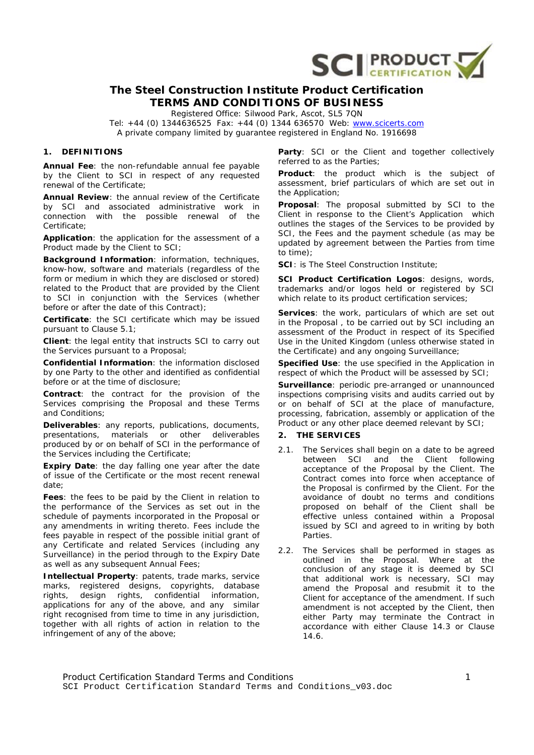

## **The Steel Construction Institute Product Certification TERMS AND CONDITIONS OF BUSINESS**

Registered Office: Silwood Park, Ascot, SL5 7QN

Tel:  $+44$  (0) 1344636525 Fax:  $+44$  (0) 1344 636570 Web: www.scicerts.com A private company limited by guarantee registered in England No. 1916698

## **1. DEFINITIONS**

**Annual Fee**: the non-refundable annual fee payable by the Client to SCI in respect of any requested renewal of the Certificate;

**Annual Review**: the annual review of the Certificate by SCI and associated administrative work in connection with the possible renewal of the Certificate;

**Application**: the application for the assessment of a Product made by the Client to SCI;

**Background Information**: information, techniques, know-how, software and materials (regardless of the form or medium in which they are disclosed or stored) related to the Product that are provided by the Client to SCI in conjunction with the Services (whether before or after the date of this Contract);

**Certificate**: the SCI certificate which may be issued pursuant to Clause 5.1;

**Client**: the legal entity that instructs SCI to carry out the Services pursuant to a Proposal;

**Confidential Information**: the information disclosed by one Party to the other and identified as confidential before or at the time of disclosure;

**Contract**: the contract for the provision of the Services comprising the Proposal and these Terms and Conditions;

**Deliverables**: any reports, publications, documents, presentations, materials or other deliverables produced by or on behalf of SCI in the performance of the Services including the Certificate;

**Expiry Date**: the day falling one year after the date of issue of the Certificate or the most recent renewal date;

**Fees**: the fees to be paid by the Client in relation to the performance of the Services as set out in the schedule of payments incorporated in the Proposal or any amendments in writing thereto. Fees include the fees payable in respect of the possible initial grant of any Certificate and related Services (including any Surveillance) in the period through to the Expiry Date as well as any subsequent Annual Fees;

**Intellectual Property**: patents, trade marks, service marks, registered designs, copyrights, database rights, design rights, confidential information, applications for any of the above, and any similar right recognised from time to time in any jurisdiction, together with all rights of action in relation to the infringement of any of the above;

Party: SCI or the Client and together collectively referred to as the Parties;

**Product**: the product which is the subject of assessment, brief particulars of which are set out in the Application;

**Proposal**: The proposal submitted by SCI to the Client in response to the Client's Application which outlines the stages of the Services to be provided by SCI, the Fees and the payment schedule (as may be updated by agreement between the Parties from time to time);

**SCI**: is The Steel Construction Institute;

**SCI Product Certification Logos**: designs, words, trademarks and/or logos held or registered by SCI which relate to its product certification services;

**Services**: the work, particulars of which are set out in the Proposal , to be carried out by SCI including an assessment of the Product in respect of its Specified Use in the United Kingdom (unless otherwise stated in the Certificate) and any ongoing Surveillance;

**Specified Use**: the use specified in the Application in respect of which the Product will be assessed by SCI;

**Surveillance**: periodic pre-arranged or unannounced inspections comprising visits and audits carried out by or on behalf of SCI at the place of manufacture, processing, fabrication, assembly or application of the Product or any other place deemed relevant by SCI;

### **2. THE SERVICES**

- 2.1. The Services shall begin on a date to be agreed between SCI and the Client following acceptance of the Proposal by the Client. The Contract comes into force when acceptance of the Proposal is confirmed by the Client. For the avoidance of doubt no terms and conditions proposed on behalf of the Client shall be effective unless contained within a Proposal issued by SCI and agreed to in writing by both Parties.
- 2.2. The Services shall be performed in stages as outlined in the Proposal. Where at the conclusion of any stage it is deemed by SCI that additional work is necessary, SCI may amend the Proposal and resubmit it to the Client for acceptance of the amendment. If such amendment is not accepted by the Client, then either Party may terminate the Contract in accordance with either Clause 14.3 or Clause 14.6.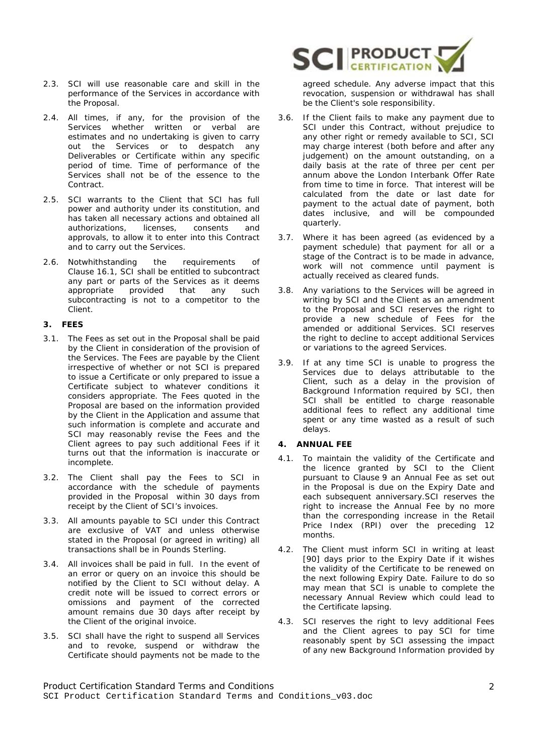- 2.3. SCI will use reasonable care and skill in the performance of the Services in accordance with the Proposal.
- 2.4. All times, if any, for the provision of the Services whether written or verbal are estimates and no undertaking is given to carry out the Services or to despatch any Deliverables or Certificate within any specific period of time. Time of performance of the Services shall not be of the essence to the **Contract.**
- 2.5. SCI warrants to the Client that SCI has full power and authority under its constitution, and has taken all necessary actions and obtained all authorizations, licenses, consents and approvals, to allow it to enter into this Contract and to carry out the Services.
- 2.6. Notwhithstanding the requirements of Clause 16.1, SCI shall be entitled to subcontract any part or parts of the Services as it deems appropriate provided that any such subcontracting is not to a competitor to the Client.

## **3. FEES**

- 3.1. The Fees as set out in the Proposal shall be paid by the Client in consideration of the provision of the Services. The Fees are payable by the Client irrespective of whether or not SCI is prepared to issue a Certificate or only prepared to issue a Certificate subject to whatever conditions it considers appropriate. The Fees quoted in the Proposal are based on the information provided by the Client in the Application and assume that such information is complete and accurate and SCI may reasonably revise the Fees and the Client agrees to pay such additional Fees if it turns out that the information is inaccurate or incomplete.
- 3.2. The Client shall pay the Fees to SCI in accordance with the schedule of payments provided in the Proposal within 30 days from receipt by the Client of SCI's invoices.
- 3.3. All amounts payable to SCI under this Contract are exclusive of VAT and unless otherwise stated in the Proposal (or agreed in writing) all transactions shall be in Pounds Sterling.
- 3.4. All invoices shall be paid in full. In the event of an error or query on an invoice this should be notified by the Client to SCI without delay. A credit note will be issued to correct errors or omissions and payment of the corrected amount remains due 30 days after receipt by the Client of the original invoice.
- 3.5. SCI shall have the right to suspend all Services and to revoke, suspend or withdraw the Certificate should payments not be made to the



agreed schedule. Any adverse impact that this revocation, suspension or withdrawal has shall be the Client's sole responsibility.

- 3.6. If the Client fails to make any payment due to SCI under this Contract, without prejudice to any other right or remedy available to SCI, SCI may charge interest (both before and after any judgement) on the amount outstanding, on a daily basis at the rate of three per cent per annum above the London Interbank Offer Rate from time to time in force. That interest will be calculated from the date or last date for payment to the actual date of payment, both dates inclusive, and will be compounded quarterly.
- 3.7. Where it has been agreed (as evidenced by a payment schedule) that payment for all or a stage of the Contract is to be made in advance, work will not commence until payment is actually received as cleared funds.
- 3.8. Any variations to the Services will be agreed in writing by SCI and the Client as an amendment to the Proposal and SCI reserves the right to provide a new schedule of Fees for the amended or additional Services. SCI reserves the right to decline to accept additional Services or variations to the agreed Services.
- 3.9. If at any time SCI is unable to progress the Services due to delays attributable to the Client, such as a delay in the provision of Background Information required by SCI, then SCI shall be entitled to charge reasonable additional fees to reflect any additional time spent or any time wasted as a result of such delays.

## **4. ANNUAL FEE**

- 4.1. To maintain the validity of the Certificate and the licence granted by SCI to the Client pursuant to Clause 9 an Annual Fee as set out in the Proposal is due on the Expiry Date and each subsequent anniversary.SCI reserves the right to increase the Annual Fee by no more than the corresponding increase in the Retail Price Index (RPI) over the preceding 12 months.
- 4.2. The Client must inform SCI in writing at least [90] days prior to the Expiry Date if it wishes the validity of the Certificate to be renewed on the next following Expiry Date. Failure to do so may mean that SCI is unable to complete the necessary Annual Review which could lead to the Certificate lapsing.
- 4.3. SCI reserves the right to levy additional Fees and the Client agrees to pay SCI for time reasonably spent by SCI assessing the impact of any new Background Information provided by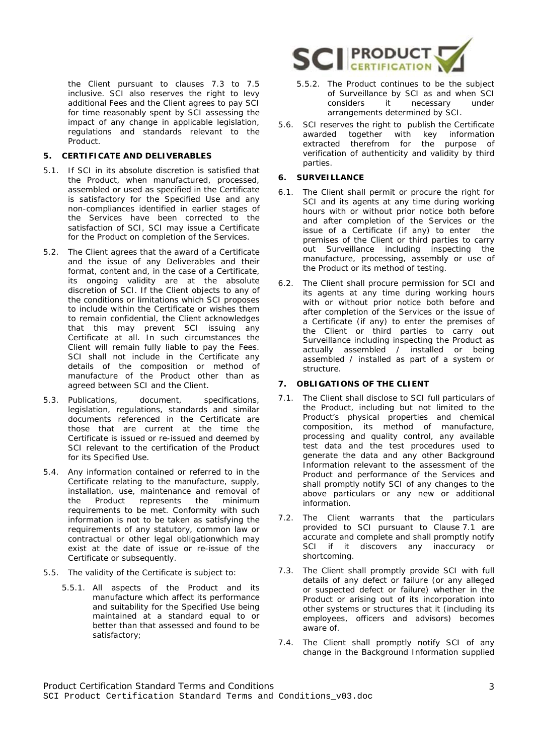the Client pursuant to clauses 7.3 to 7.5 inclusive. SCI also reserves the right to levy additional Fees and the Client agrees to pay SCI for time reasonably spent by SCI assessing the impact of any change in applicable legislation, regulations and standards relevant to the Product.

## **5. CERTIFICATE AND DELIVERABLES**

- 5.1. If SCI in its absolute discretion is satisfied that the Product, when manufactured, processed, assembled or used as specified in the Certificate is satisfactory for the Specified Use and any non-compliances identified in earlier stages of the Services have been corrected to the satisfaction of SCI, SCI may issue a Certificate for the Product on completion of the Services.
- 5.2. The Client agrees that the award of a Certificate and the issue of any Deliverables and their format, content and, in the case of a Certificate, its ongoing validity are at the absolute discretion of SCI. If the Client objects to any of the conditions or limitations which SCI proposes to include within the Certificate or wishes them to remain confidential, the Client acknowledges that this may prevent SCI issuing any Certificate at all. In such circumstances the Client will remain fully liable to pay the Fees. SCI shall not include in the Certificate any details of the composition or method of manufacture of the Product other than as agreed between SCI and the Client.
- 5.3. Publications, document, specifications, legislation, regulations, standards and similar documents referenced in the Certificate are those that are current at the time the Certificate is issued or re-issued and deemed by SCI relevant to the certification of the Product for its Specified Use.
- 5.4. Any information contained or referred to in the Certificate relating to the manufacture, supply, installation, use, maintenance and removal of the Product represents the minimum requirements to be met. Conformity with such information is not to be taken as satisfying the requirements of any statutory, common law or contractual or other legal obligationwhich may exist at the date of issue or re-issue of the Certificate or subsequently.
- 5.5. The validity of the Certificate is subject to:
	- 5.5.1. All aspects of the Product and its manufacture which affect its performance and suitability for the Specified Use being maintained at a standard equal to or better than that assessed and found to be satisfactory;



- 5.5.2. The Product continues to be the subject of Surveillance by SCI as and when SCI considers it necessary under arrangements determined by SCI.
- 5.6. SCI reserves the right to publish the Certificate awarded together with key information extracted therefrom for the purpose of verification of authenticity and validity by third parties.

## **6. SURVEILLANCE**

- 6.1. The Client shall permit or procure the right for SCI and its agents at any time during working hours with or without prior notice both before and after completion of the Services or the issue of a Certificate (if any) to enter the premises of the Client or third parties to carry out Surveillance including inspecting the manufacture, processing, assembly or use of the Product or its method of testing.
- 6.2. The Client shall procure permission for SCI and its agents at any time during working hours with or without prior notice both before and after completion of the Services or the issue of a Certificate (if any) to enter the premises of the Client or third parties to carry out Surveillance including inspecting the Product as actually assembled / installed or being assembled / installed as part of a system or structure.

## **7. OBLIGATIONS OF THE CLIENT**

- 7.1. The Client shall disclose to SCI full particulars of the Product, including but not limited to the Product's physical properties and chemical composition, its method of manufacture, processing and quality control, any available test data and the test procedures used to generate the data and any other Background Information relevant to the assessment of the Product and performance of the Services and shall promptly notify SCI of any changes to the above particulars or any new or additional information.
- 7.2. The Client warrants that the particulars provided to SCI pursuant to Clause 7.1 are accurate and complete and shall promptly notify SCI if it discovers any inaccuracy or shortcoming.
- 7.3. The Client shall promptly provide SCI with full details of any defect or failure (or any alleged or suspected defect or failure) whether in the Product or arising out of its incorporation into other systems or structures that it (including its employees, officers and advisors) becomes aware of.
- 7.4. The Client shall promptly notify SCI of any change in the Background Information supplied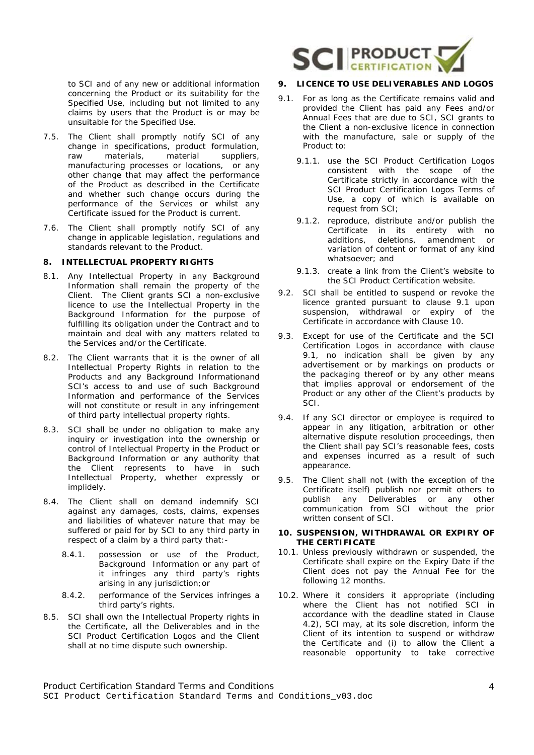to SCI and of any new or additional information concerning the Product or its suitability for the Specified Use, including but not limited to any claims by users that the Product is or may be unsuitable for the Specified Use.

- 7.5. The Client shall promptly notify SCI of any change in specifications, product formulation, raw materials, material suppliers, manufacturing processes or locations, or any other change that may affect the performance of the Product as described in the Certificate and whether such change occurs during the performance of the Services or whilst any Certificate issued for the Product is current.
- 7.6. The Client shall promptly notify SCI of any change in applicable legislation, regulations and standards relevant to the Product.

## **8. INTELLECTUAL PROPERTY RIGHTS**

- 8.1. Any Intellectual Property in any Background Information shall remain the property of the Client. The Client grants SCI a non-exclusive licence to use the Intellectual Property in the Background Information for the purpose of fulfilling its obligation under the Contract and to maintain and deal with any matters related to the Services and/or the Certificate.
- 8.2. The Client warrants that it is the owner of all Intellectual Property Rights in relation to the Products and any Background Informationand SCI's access to and use of such Background Information and performance of the Services will not constitute or result in any infringement of third party intellectual property rights.
- 8.3. SCI shall be under no obligation to make any inquiry or investigation into the ownership or control of Intellectual Property in the Product or Background Information or any authority that the Client represents to have in such Intellectual Property, whether expressly or implidely.
- 8.4. The Client shall on demand indemnify SCI against any damages, costs, claims, expenses and liabilities of whatever nature that may be suffered or paid for by SCI to any third party in respect of a claim by a third party that:-
	- 8.4.1. possession or use of the Product, Background Information or any part of it infringes any third party's rights arising in any jurisdiction;or
	- 8.4.2. performance of the Services infringes a third party's rights.
- 8.5. SCI shall own the Intellectual Property rights in the Certificate, all the Deliverables and in the SCI Product Certification Logos and the Client shall at no time dispute such ownership.

# **SCI** PRODUCT

## **9. LICENCE TO USE DELIVERABLES AND LOGOS**

- 9.1. For as long as the Certificate remains valid and provided the Client has paid any Fees and/or Annual Fees that are due to SCI, SCI grants to the Client a non-exclusive licence in connection with the manufacture, sale or supply of the Product to:
	- 9.1.1. use the SCI Product Certification Logos consistent with the scope of the Certificate strictly in accordance with the SCI Product Certification Logos Terms of Use, a copy of which is available on request from SCI;
	- 9.1.2. reproduce, distribute and/or publish the Certificate in its entirety with no additions, deletions, amendment or variation of content or format of any kind whatsoever; and
	- 9.1.3. create a link from the Client's website to the SCI Product Certification website.
- 9.2. SCI shall be entitled to suspend or revoke the licence granted pursuant to clause 9.1 upon suspension, withdrawal or expiry of the Certificate in accordance with Clause 10.
- 9.3. Except for use of the Certificate and the SCI Certification Logos in accordance with clause 9.1, no indication shall be given by any advertisement or by markings on products or the packaging thereof or by any other means that implies approval or endorsement of the Product or any other of the Client's products by SCI.
- 9.4. If any SCI director or employee is required to appear in any litigation, arbitration or other alternative dispute resolution proceedings, then the Client shall pay SCI's reasonable fees, costs and expenses incurred as a result of such appearance.
- 9.5. The Client shall not (with the exception of the Certificate itself) publish nor permit others to publish any Deliverables or any other communication from SCI without the prior written consent of SCI.

#### **10. SUSPENSION, WITHDRAWAL OR EXPIRY OF THE CERTIFICATE**

- 10.1. Unless previously withdrawn or suspended, the Certificate shall expire on the Expiry Date if the Client does not pay the Annual Fee for the following 12 months.
- 10.2. Where it considers it appropriate (including where the Client has not notified SCI in accordance with the deadline stated in Clause 4.2), SCI may, at its sole discretion, inform the Client of its intention to suspend or withdraw the Certificate and (i) to allow the Client a reasonable opportunity to take corrective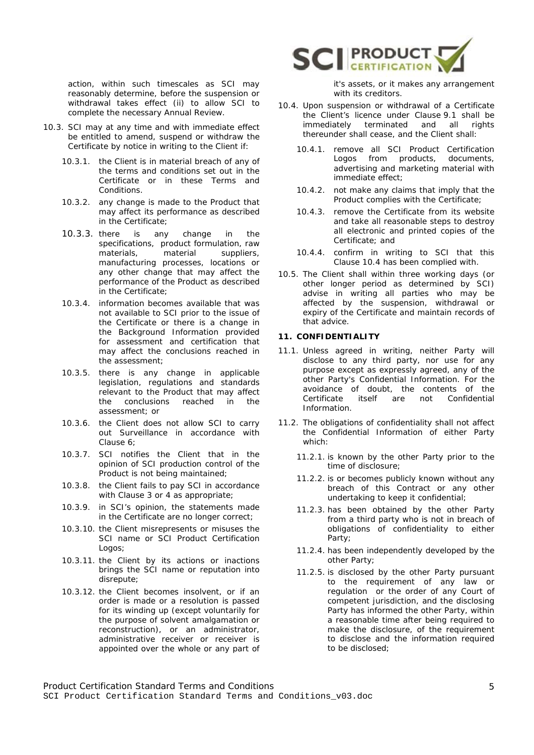

action, within such timescales as SCI may reasonably determine, before the suspension or withdrawal takes effect (ii) to allow SCI to complete the necessary Annual Review.

- 10.3. SCI may at any time and with immediate effect be entitled to amend, suspend or withdraw the Certificate by notice in writing to the Client if:
	- 10.3.1. the Client is in material breach of any of the terms and conditions set out in the Certificate or in these Terms and **Conditions**
	- 10.3.2. any change is made to the Product that may affect its performance as described in the Certificate;
	- 10.3.3. there is any change in the specifications, product formulation, raw materials, material suppliers, manufacturing processes, locations or any other change that may affect the performance of the Product as described in the Certificate;
	- 10.3.4. information becomes available that was not available to SCI prior to the issue of the Certificate or there is a change in the Background Information provided for assessment and certification that may affect the conclusions reached in the assessment;
	- 10.3.5. there is any change in applicable legislation, regulations and standards relevant to the Product that may affect the conclusions reached in the assessment; or
	- 10.3.6. the Client does not allow SCI to carry out Surveillance in accordance with Clause 6;
	- 10.3.7. SCI notifies the Client that in the opinion of SCI production control of the Product is not being maintained;
	- 10.3.8. the Client fails to pay SCI in accordance with Clause 3 or 4 as appropriate;
	- 10.3.9. in SCI's opinion, the statements made in the Certificate are no longer correct;
	- 10.3.10. the Client misrepresents or misuses the SCI name or SCI Product Certification Logos;
	- 10.3.11. the Client by its actions or inactions brings the SCI name or reputation into disrepute;
	- 10.3.12. the Client becomes insolvent, or if an order is made or a resolution is passed for its winding up (except voluntarily for the purpose of solvent amalgamation or reconstruction), or an administrator, administrative receiver or receiver is appointed over the whole or any part of

it's assets, or it makes any arrangement with its creditors.

- 10.4. Upon suspension or withdrawal of a Certificate the Client's licence under Clause 9.1 shall be immediately terminated and all rights thereunder shall cease, and the Client shall:
	- 10.4.1. remove all SCI Product Certification Logos from products, documents, advertising and marketing material with immediate effect;
	- 10.4.2. not make any claims that imply that the Product complies with the Certificate;
	- 10.4.3. remove the Certificate from its website and take all reasonable steps to destroy all electronic and printed copies of the Certificate; and
	- 10.4.4. confirm in writing to SCI that this Clause 10.4 has been complied with.
- 10.5. The Client shall within three working days (or other longer period as determined by SCI) advise in writing all parties who may be affected by the suspension, withdrawal or expiry of the Certificate and maintain records of that advice.

## **11. CONFIDENTIALITY**

- 11.1. Unless agreed in writing, neither Party will disclose to any third party, nor use for any purpose except as expressly agreed, any of the other Party's Confidential Information. For the avoidance of doubt, the contents of the Certificate itself are not Confidential Information.
- 11.2. The obligations of confidentiality shall not affect the Confidential Information of either Party which:
	- 11.2.1. is known by the other Party prior to the time of disclosure;
	- 11.2.2. is or becomes publicly known without any breach of this Contract or any other undertaking to keep it confidential;
	- 11.2.3. has been obtained by the other Party from a third party who is not in breach of obligations of confidentiality to either Party;
	- 11.2.4. has been independently developed by the other Party;
	- 11.2.5. is disclosed by the other Party pursuant to the requirement of any law or regulation or the order of any Court of competent jurisdiction, and the disclosing Party has informed the other Party, within a reasonable time after being required to make the disclosure, of the requirement to disclose and the information required to be disclosed;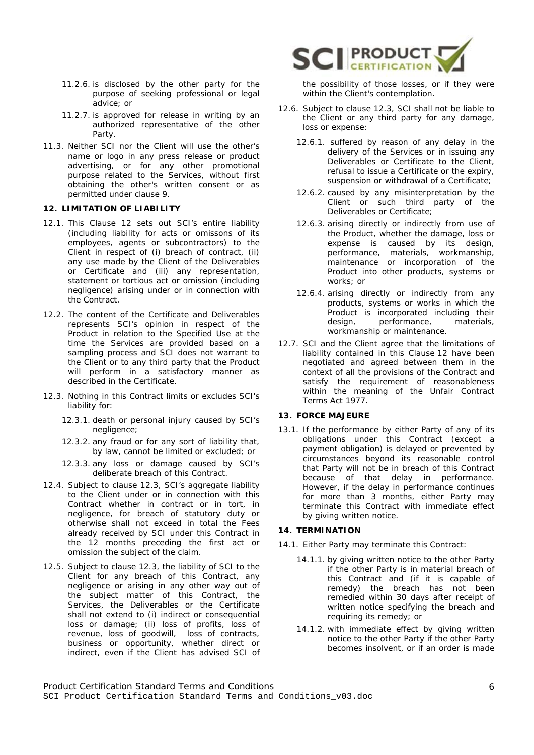- 11.2.6. is disclosed by the other party for the purpose of seeking professional or legal advice; or
- 11.2.7. is approved for release in writing by an authorized representative of the other Party.
- 11.3. Neither SCI nor the Client will use the other's name or logo in any press release or product advertising, or for any other promotional purpose related to the Services, without first obtaining the other's written consent or as permitted under clause 9.

### **12. LIMITATION OF LIABILITY**

- 12.1. This Clause 12 sets out SCI's entire liability (including liability for acts or omissons of its employees, agents or subcontractors) to the Client in respect of (i) breach of contract, (ii) any use made by the Client of the Deliverables or Certificate and (iii) any representation, statement or tortious act or omission (including negligence) arising under or in connection with the Contract.
- 12.2. The content of the Certificate and Deliverables represents SCI's opinion in respect of the Product in relation to the Specified Use at the time the Services are provided based on a sampling process and SCI does not warrant to the Client or to any third party that the Product will perform in a satisfactory manner as described in the Certificate.
- 12.3. Nothing in this Contract limits or excludes SCI's liability for:
	- 12.3.1. death or personal injury caused by SCI's negligence;
	- 12.3.2. any fraud or for any sort of liability that, by law, cannot be limited or excluded; or
	- 12.3.3. any loss or damage caused by SCI's deliberate breach of this Contract.
- 12.4. Subject to clause 12.3, SCI's aggregate liability to the Client under or in connection with this Contract whether in contract or in tort, in negligence, for breach of statutory duty or otherwise shall not exceed in total the Fees already received by SCI under this Contract in the 12 months preceding the first act or omission the subject of the claim.
- 12.5. Subject to clause 12.3, the liability of SCI to the Client for any breach of this Contract, any negligence or arising in any other way out of the subject matter of this Contract, the Services, the Deliverables or the Certificate shall not extend to (i) indirect or consequential loss or damage; (ii) loss of profits, loss of revenue, loss of goodwill, loss of contracts, business or opportunity, whether direct or indirect, even if the Client has advised SCI of



the possibility of those losses, or if they were within the Client's contemplation.

- 12.6. Subject to clause 12.3, SCI shall not be liable to the Client or any third party for any damage, loss or expense:
	- 12.6.1. suffered by reason of any delay in the delivery of the Services or in issuing any Deliverables or Certificate to the Client, refusal to issue a Certificate or the expiry, suspension or withdrawal of a Certificate;
	- 12.6.2. caused by any misinterpretation by the Client or such third party of the Deliverables or Certificate;
	- 12.6.3. arising directly or indirectly from use of the Product, whether the damage, loss or expense is caused by its design, performance, materials, workmanship, maintenance or incorporation of the Product into other products, systems or works; or
	- 12.6.4. arising directly or indirectly from any products, systems or works in which the Product is incorporated including their design, performance, materials, workmanship or maintenance.
- 12.7. SCI and the Client agree that the limitations of liability contained in this Clause 12 have been negotiated and agreed between them in the context of all the provisions of the Contract and satisfy the requirement of reasonableness within the meaning of the Unfair Contract Terms Act 1977.

## **13. FORCE MAJEURE**

13.1. If the performance by either Party of any of its obligations under this Contract (except a payment obligation) is delayed or prevented by circumstances beyond its reasonable control that Party will not be in breach of this Contract because of that delay in performance. However, if the delay in performance continues for more than 3 months, either Party may terminate this Contract with immediate effect by giving written notice.

### **14. TERMINATION**

14.1. Either Party may terminate this Contract:

- 14.1.1. by giving written notice to the other Party if the other Party is in material breach of this Contract and (if it is capable of remedy) the breach has not been remedied within 30 days after receipt of written notice specifying the breach and requiring its remedy; or
- 14.1.2. with immediate effect by giving written notice to the other Party if the other Party becomes insolvent, or if an order is made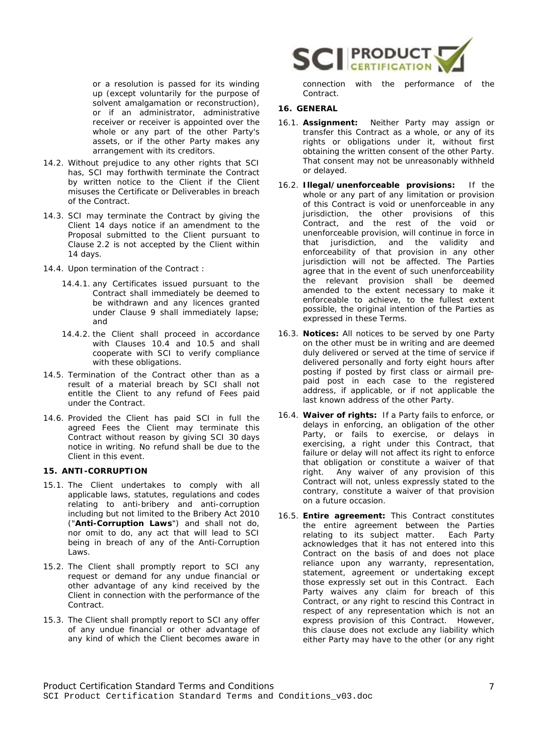or a resolution is passed for its winding up (except voluntarily for the purpose of solvent amalgamation or reconstruction), or if an administrator, administrative receiver or receiver is appointed over the whole or any part of the other Party's assets, or if the other Party makes any arrangement with its creditors.

- 14.2. Without prejudice to any other rights that SCI has, SCI may forthwith terminate the Contract by written notice to the Client if the Client misuses the Certificate or Deliverables in breach of the Contract.
- 14.3. SCI may terminate the Contract by giving the Client 14 days notice if an amendment to the Proposal submitted to the Client pursuant to Clause 2.2 is not accepted by the Client within 14 days.
- 14.4. Upon termination of the Contract :
	- 14.4.1. any Certificates issued pursuant to the Contract shall immediately be deemed to be withdrawn and any licences granted under Clause 9 shall immediately lapse; and
	- 14.4.2. the Client shall proceed in accordance with Clauses 10.4 and 10.5 and shall cooperate with SCI to verify compliance with these obligations.
- 14.5. Termination of the Contract other than as a result of a material breach by SCI shall not entitle the Client to any refund of Fees paid under the Contract.
- 14.6. Provided the Client has paid SCI in full the agreed Fees the Client may terminate this Contract without reason by giving SCI 30 days notice in writing. No refund shall be due to the Client in this event.

## **15. ANTI-CORRUPTION**

- 15.1. The Client undertakes to comply with all applicable laws, statutes, regulations and codes relating to anti-bribery and anti-corruption including but not limited to the Bribery Act 2010 ("**Anti-Corruption Laws**") and shall not do, nor omit to do, any act that will lead to SCI being in breach of any of the Anti-Corruption Laws.
- 15.2. The Client shall promptly report to SCI any request or demand for any undue financial or other advantage of any kind received by the Client in connection with the performance of the Contract.
- 15.3. The Client shall promptly report to SCI any offer of any undue financial or other advantage of any kind of which the Client becomes aware in



connection with the performance of the Contract.

## **16. GENERAL**

- 16.1. **Assignment:** Neither Party may assign or transfer this Contract as a whole, or any of its rights or obligations under it, without first obtaining the written consent of the other Party. That consent may not be unreasonably withheld or delayed.
- 16.2. **Illegal/unenforceable provisions:** If the whole or any part of any limitation or provision of this Contract is void or unenforceable in any jurisdiction, the other provisions of this Contract, and the rest of the void or unenforceable provision, will continue in force in that jurisdiction, and the validity and enforceability of that provision in any other jurisdiction will not be affected. The Parties agree that in the event of such unenforceability the relevant provision shall be deemed amended to the extent necessary to make it enforceable to achieve, to the fullest extent possible, the original intention of the Parties as expressed in these Terms.
- 16.3. **Notices:** All notices to be served by one Party on the other must be in writing and are deemed duly delivered or served at the time of service if delivered personally and forty eight hours after posting if posted by first class or airmail prepaid post in each case to the registered address, if applicable, or if not applicable the last known address of the other Party.
- 16.4. **Waiver of rights:** If a Party fails to enforce, or delays in enforcing, an obligation of the other Party, or fails to exercise, or delays in exercising, a right under this Contract, that failure or delay will not affect its right to enforce that obligation or constitute a waiver of that right. Any waiver of any provision of this Contract will not, unless expressly stated to the contrary, constitute a waiver of that provision on a future occasion.
- 16.5. **Entire agreement:** This Contract constitutes the entire agreement between the Parties relating to its subject matter. Each Party acknowledges that it has not entered into this Contract on the basis of and does not place reliance upon any warranty, representation, statement, agreement or undertaking except those expressly set out in this Contract. Each Party waives any claim for breach of this Contract, or any right to rescind this Contract in respect of any representation which is not an express provision of this Contract. However, this clause does not exclude any liability which either Party may have to the other (or any right